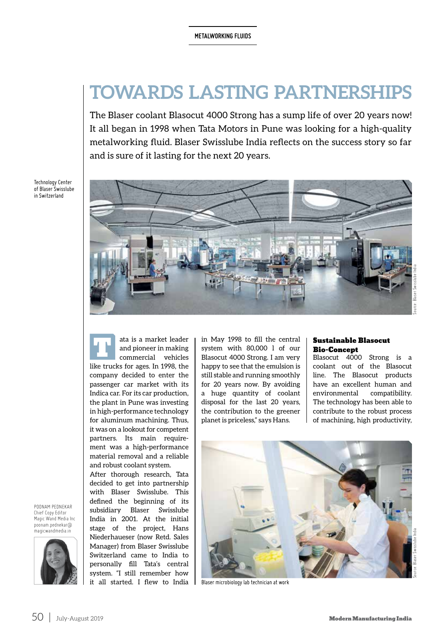# **TOWARDS LASTING PARTNERSHIPS**

The Blaser coolant Blasocut 4000 Strong has a sump life of over 20 years now! It all began in 1998 when Tata Motors in Pune was looking for a high-quality metalworking fluid. Blaser Swisslube India reflects on the success story so far and is sure of it lasting for the next 20 years.



ata is a market leader<br>and pioneer in making<br>commercial vehicles and pioneer in making commercial vehicles like trucks for ages. In 1998, the company decided to enter the passenger car market with its Indica car. For its car production, the plant in Pune was investing in high-performance technology for aluminum machining. Thus, it was on a lookout for competent partners. Its main requirement was a high-performance material removal and a reliable and robust coolant system.

After thorough research, Tata decided to get into partnership with Blaser Swisslube. This defined the beginning of its subsidiary Blaser Swisslube India in 2001. At the initial stage of the project, Hans Niederhaueser (now Retd. Sales Manager) from Blaser Swisslube Switzerland came to India to personally fill Tata's central system. "I still remember how it all started. I flew to India in May 1998 to fill the central system with 80,000 l of our Blasocut 4000 Strong. I am very happy to see that the emulsion is still stable and running smoothly for 20 years now. By avoiding a huge quantity of coolant disposal for the last 20 years, the contribution to the greener planet is priceless," says Hans.

## Sustainable Blasocut Bio-Concept

Blasocut 4000 Strong is a coolant out of the Blasocut line. The Blasocut products have an excellent human and environmental compatibility. The technology has been able to contribute to the robust process of machining, high productivity,



Blaser microbiology lab technician at work

POONAM PEDNEKAR Chief Copy Editor

Technology Center of Blaser Swisslube in Switzerland